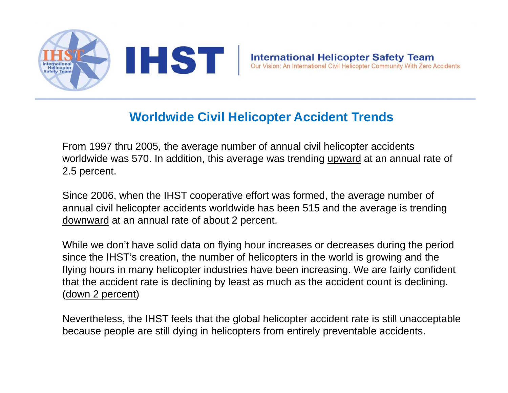

#### **Worldwide Civil Helicopter Accident Trends**

From 1997 thru 2005, the average number of annual civil helicopter accidents worldwide was 570. In addition, this average was trending upward at an annual rate of 2.5 percent.

Since 2006, when the IHST cooperative effort was formed, the average number of annual civil helicopter accidents worldwide has been 515 and the average is trending downward at an annual rate of about 2 percent.

While we don't have solid data on flying hour increases or decreases during the period since the IHST's creation, the number of helicopters in the world is growing and the flying hours in many helicopter industries have been increasing. We are fairly confident that the accident rate is declining by least as much as the accident count is declining. (down 2 percent)

Nevertheless, the IHST feels that the global helicopter accident rate is still unacceptable because people are still dying in helicopters from entirely preventable accidents.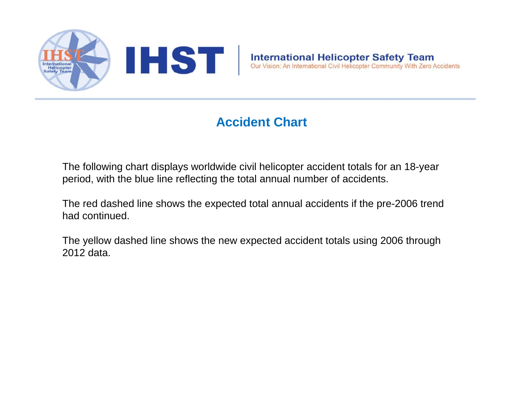

### **Accident Chart**

The following chart displays worldwide civil helicopter accident totals for an 18-year period, with the blue line reflecting the total annual number of accidents.

The red dashed line shows the expected total annual accidents if the pre-2006 trend had continued.

The yellow dashed line shows the new expected accident totals using 2006 through 2012 data.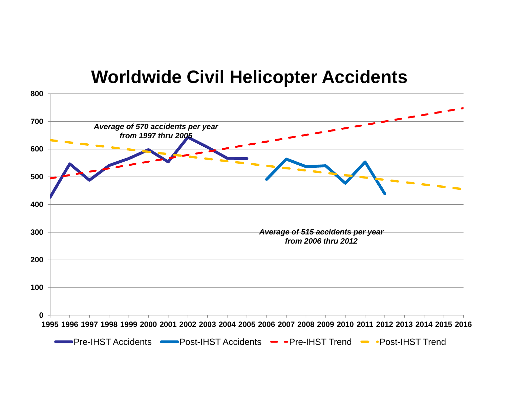## **W ld id Ci il H li t A id t Worldwide Civil Helicopter Accidents**

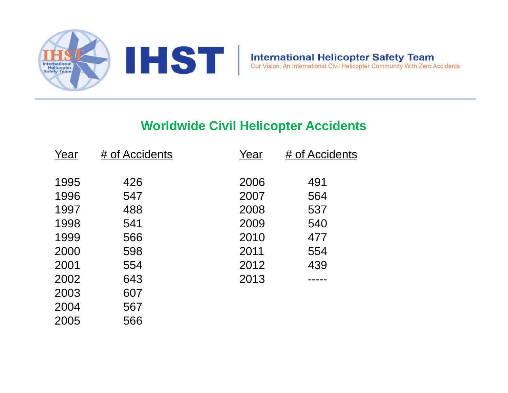

566

2005

#### **Worldwide Civil Helicopter Accidents**

| Year | # of Accidents | Year | # of Accidents |
|------|----------------|------|----------------|
|      |                |      |                |
| 1995 | 426            | 2006 | 491            |
| 1996 | 547            | 2007 | 564            |
| 1997 | 488            | 2008 | 537            |
| 1998 | 541            | 2009 | 540            |
| 1999 | 566            | 2010 | 477            |
| 2000 | 598            | 2011 | 554            |
| 2001 | 554            | 2012 | 439            |
| 2002 | 643            | 2013 |                |
| 2003 | 607            |      |                |
| 2004 | 567            |      |                |